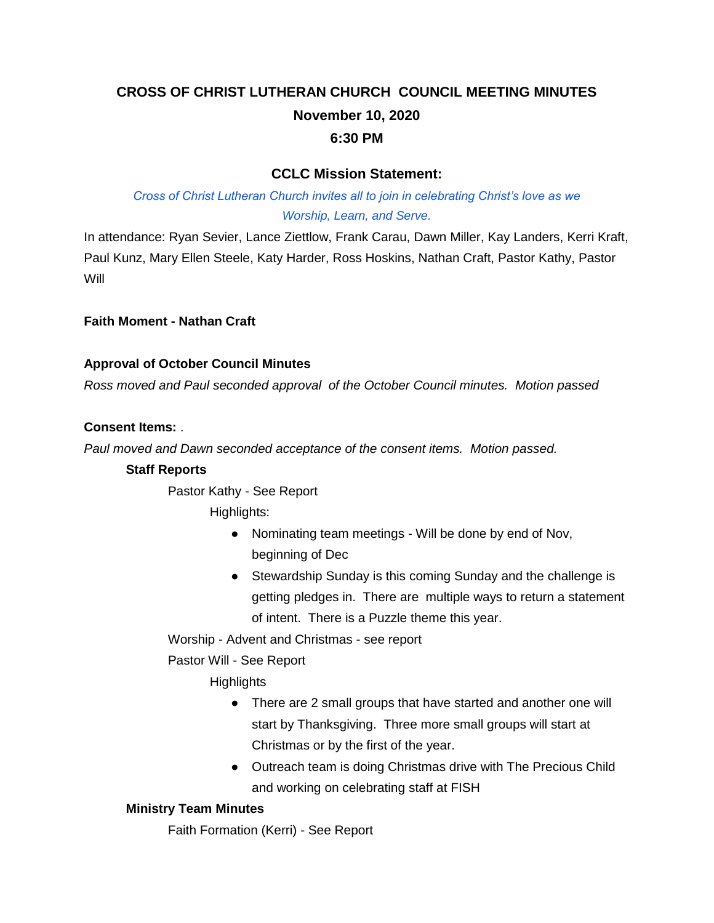# **CROSS OF CHRIST LUTHERAN CHURCH COUNCIL MEETING MINUTES November 10, 2020 6:30 PM**

# **CCLC Mission Statement:**

# *Cross of Christ Lutheran Church invites all to join in celebrating Christ's love as we Worship, Learn, and Serve.*

In attendance: Ryan Sevier, Lance Ziettlow, Frank Carau, Dawn Miller, Kay Landers, Kerri Kraft, Paul Kunz, Mary Ellen Steele, Katy Harder, Ross Hoskins, Nathan Craft, Pastor Kathy, Pastor **Will** 

**Faith Moment - Nathan Craft**

# **Approval of October Council Minutes**

*Ross moved and Paul seconded approval of the October Council minutes. Motion passed*

# **Consent Items:** .

*Paul moved and Dawn seconded acceptance of the consent items. Motion passed.*

#### **Staff Reports**

Pastor Kathy - See Report

Highlights:

- Nominating team meetings Will be done by end of Nov, beginning of Dec
- Stewardship Sunday is this coming Sunday and the challenge is getting pledges in. There are multiple ways to return a statement of intent. There is a Puzzle theme this year.

Worship - Advent and Christmas - see report

Pastor Will - See Report

**Highlights** 

- There are 2 small groups that have started and another one will start by Thanksgiving. Three more small groups will start at Christmas or by the first of the year.
- Outreach team is doing Christmas drive with The Precious Child and working on celebrating staff at FISH

#### **Ministry Team Minutes**

Faith Formation (Kerri) - See Report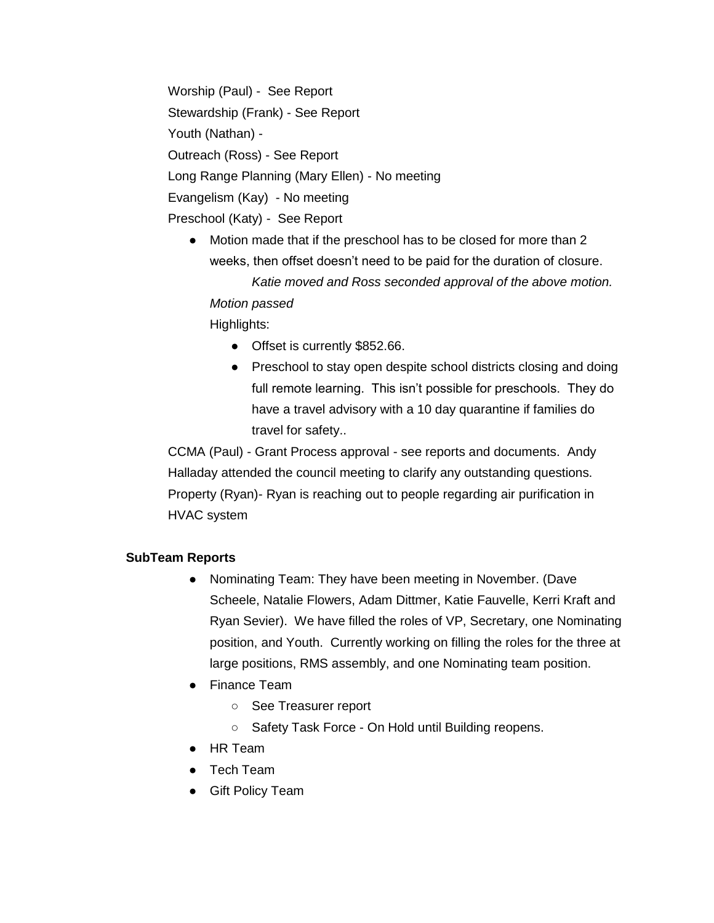Worship (Paul) - See Report Stewardship (Frank) - See Report Youth (Nathan) - Outreach (Ross) - See Report Long Range Planning (Mary Ellen) - No meeting Evangelism (Kay) - No meeting Preschool (Katy) - See Report

● Motion made that if the preschool has to be closed for more than 2 weeks, then offset doesn't need to be paid for the duration of closure. *Katie moved and Ross seconded approval of the above motion. Motion passed*

Highlights:

- Offset is currently \$852.66.
- Preschool to stay open despite school districts closing and doing full remote learning. This isn't possible for preschools. They do have a travel advisory with a 10 day quarantine if families do travel for safety..

CCMA (Paul) - Grant Process approval - see reports and documents. Andy Halladay attended the council meeting to clarify any outstanding questions. Property (Ryan)- Ryan is reaching out to people regarding air purification in HVAC system

#### **SubTeam Reports**

- Nominating Team: They have been meeting in November. (Dave Scheele, Natalie Flowers, Adam Dittmer, Katie Fauvelle, Kerri Kraft and Ryan Sevier). We have filled the roles of VP, Secretary, one Nominating position, and Youth. Currently working on filling the roles for the three at large positions, RMS assembly, and one Nominating team position.
- Finance Team
	- See Treasurer report
	- Safety Task Force On Hold until Building reopens.
- HR Team
- Tech Team
- Gift Policy Team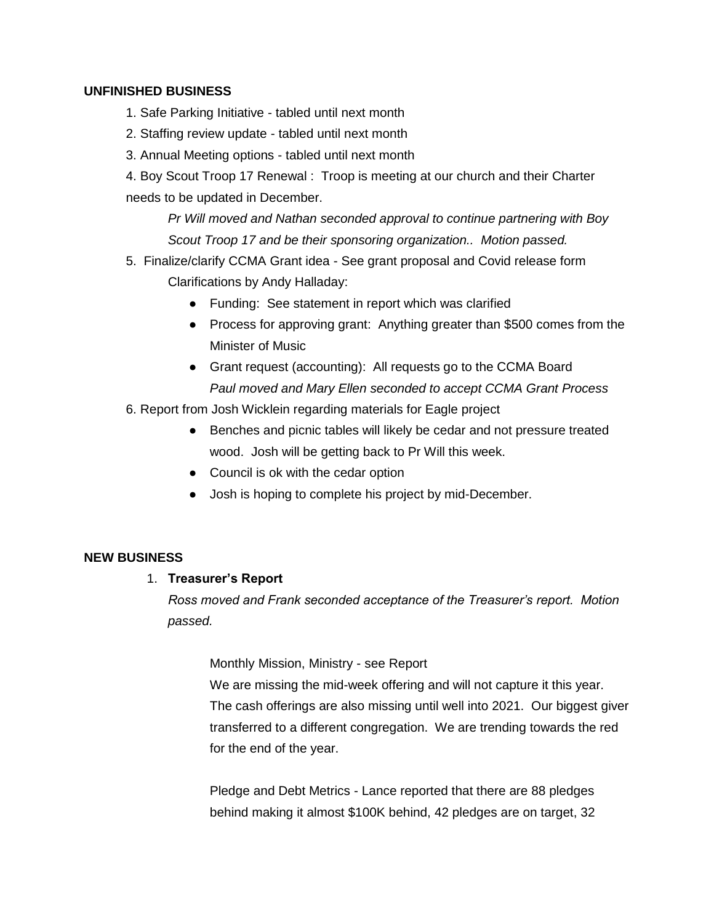#### **UNFINISHED BUSINESS**

- 1. Safe Parking Initiative tabled until next month
- 2. Staffing review update tabled until next month
- 3. Annual Meeting options tabled until next month
- 4. Boy Scout Troop 17 Renewal : Troop is meeting at our church and their Charter needs to be updated in December.

*Pr Will moved and Nathan seconded approval to continue partnering with Boy Scout Troop 17 and be their sponsoring organization.. Motion passed.*

- 5. Finalize/clarify CCMA Grant idea See grant proposal and Covid release form Clarifications by Andy Halladay:
	- Funding: See statement in report which was clarified
	- Process for approving grant: Anything greater than \$500 comes from the Minister of Music
	- Grant request (accounting): All requests go to the CCMA Board *Paul moved and Mary Ellen seconded to accept CCMA Grant Process*
- 6. Report from Josh Wicklein regarding materials for Eagle project
	- Benches and picnic tables will likely be cedar and not pressure treated wood. Josh will be getting back to Pr Will this week.
	- Council is ok with the cedar option
	- Josh is hoping to complete his project by mid-December.

#### **NEW BUSINESS**

#### 1. **Treasurer's Report**

*Ross moved and Frank seconded acceptance of the Treasurer's report. Motion passed.*

Monthly Mission, Ministry - see Report

We are missing the mid-week offering and will not capture it this year. The cash offerings are also missing until well into 2021. Our biggest giver transferred to a different congregation. We are trending towards the red for the end of the year.

Pledge and Debt Metrics - Lance reported that there are 88 pledges behind making it almost \$100K behind, 42 pledges are on target, 32